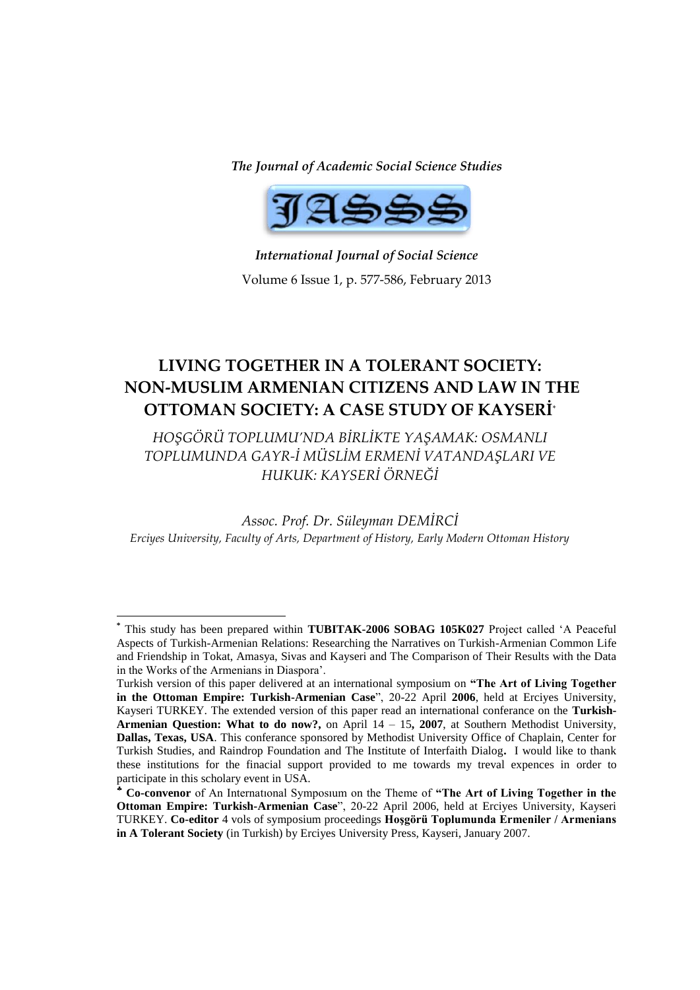*The Journal of Academic Social Science Studies*



*International Journal of Social Science* Volume 6 Issue 1, p. 577-586, February 2013

# **LIVING TOGETHER IN A TOLERANT SOCIETY: NON-MUSLIM ARMENIAN CITIZENS AND LAW IN THE OTTOMAN SOCIETY: A CASE STUDY OF KAYSERİ**\*

*HOŞGÖRÜ TOPLUMU'NDA BİRLİKTE YAŞAMAK: OSMANLI TOPLUMUNDA GAYR-İ MÜSLİM ERMENİ VATANDAŞLARI VE HUKUK: KAYSERİ ÖRNEĞİ*

*Assoc. Prof. Dr. Süleyman DEMİRCİ Erciyes University, Faculty of Arts, Department of History, Early Modern Ottoman History*

**<sup>\*</sup>** This study has been prepared within **TUBITAK-2006 SOBAG 105K027** Project called "A Peaceful Aspects of Turkish-Armenian Relations: Researching the Narratives on Turkish-Armenian Common Life and Friendship in Tokat, Amasya, Sivas and Kayseri and The Comparison of Their Results with the Data in the Works of the Armenians in Diaspora".

Turkish version of this paper delivered at an international symposium on **"The Art of Living Together in the Ottoman Empire: Turkish-Armenian Case**", 20-22 April **2006**, held at Erciyes University, Kayseri TURKEY. The extended version of this paper read an international conferance on the **Turkish-Armenian Question: What to do now?,** on April 14 – 15**, 2007**, at Southern Methodist University, **Dallas, Texas, USA**. This conferance sponsored by Methodist University Office of Chaplain, Center for Turkish Studies, and Raindrop Foundation and The Institute of Interfaith Dialog**.** I would like to thank these institutions for the finacial support provided to me towards my treval expences in order to participate in this scholary event in USA.

**Co-convenor** of An Internatıonal Symposıum on the Theme of **"The Art of Living Together in the Ottoman Empire: Turkish-Armenian Case**", 20-22 April 2006, held at Erciyes University, Kayseri TURKEY. **Co-editor** 4 vols of symposium proceedings **Hoşgörü Toplumunda Ermeniler / Armenians in A Tolerant Society** (in Turkish) by Erciyes University Press, Kayseri, January 2007.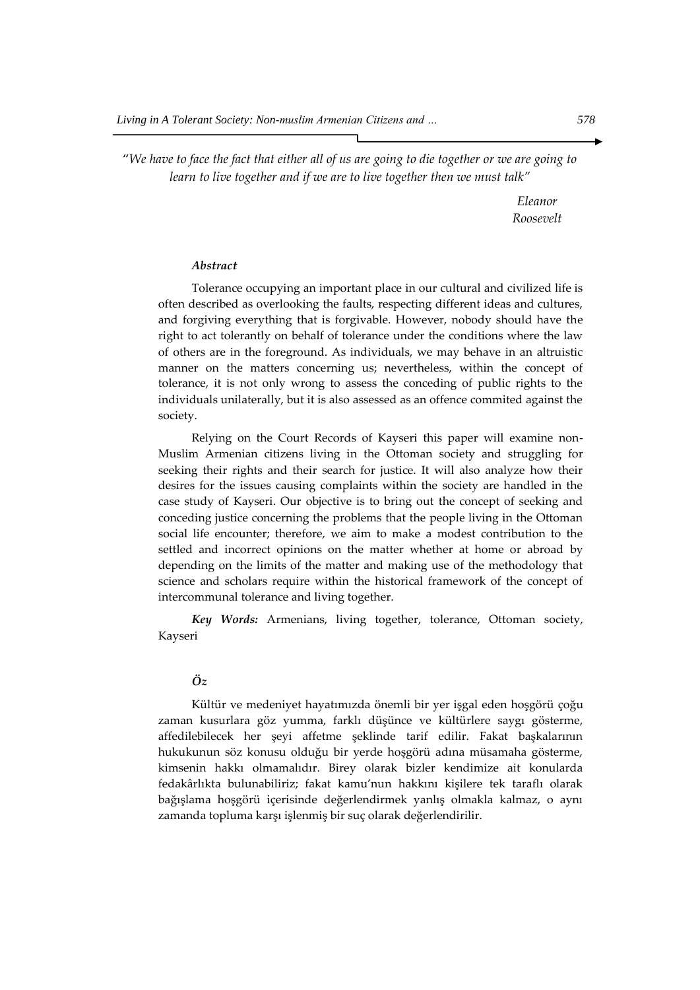"*We have to face the fact that either all of us are going to die together or we are going to learn to live together and if we are to live together then we must talk"*

> *Eleanor Roosevelt*

#### *Abstract*

Tolerance occupying an important place in our cultural and civilized life is often described as overlooking the faults, respecting different ideas and cultures, and forgiving everything that is forgivable. However, nobody should have the right to act tolerantly on behalf of tolerance under the conditions where the law of others are in the foreground. As individuals, we may behave in an altruistic manner on the matters concerning us; nevertheless, within the concept of tolerance, it is not only wrong to assess the conceding of public rights to the individuals unilaterally, but it is also assessed as an offence commited against the society.

Relying on the Court Records of Kayseri this paper will examine non-Muslim Armenian citizens living in the Ottoman society and struggling for seeking their rights and their search for justice. It will also analyze how their desires for the issues causing complaints within the society are handled in the case study of Kayseri. Our objective is to bring out the concept of seeking and conceding justice concerning the problems that the people living in the Ottoman social life encounter; therefore, we aim to make a modest contribution to the settled and incorrect opinions on the matter whether at home or abroad by depending on the limits of the matter and making use of the methodology that science and scholars require within the historical framework of the concept of intercommunal tolerance and living together.

*Key Words:* Armenians, living together, tolerance, Ottoman society, Kayseri

# *Öz*

Kültür ve medeniyet hayatımızda önemli bir yer işgal eden hoşgörü çoğu zaman kusurlara göz yumma, farklı düşünce ve kültürlere saygı gösterme, affedilebilecek her şeyi affetme şeklinde tarif edilir. Fakat başkalarının hukukunun söz konusu olduğu bir yerde hoşgörü adına müsamaha gösterme, kimsenin hakkı olmamalıdır. Birey olarak bizler kendimize ait konularda fedakârlıkta bulunabiliriz; fakat kamu'nun hakkını kişilere tek taraflı olarak bağışlama hoşgörü içerisinde değerlendirmek yanlış olmakla kalmaz, o aynı zamanda topluma karşı işlenmiş bir suç olarak değerlendirilir.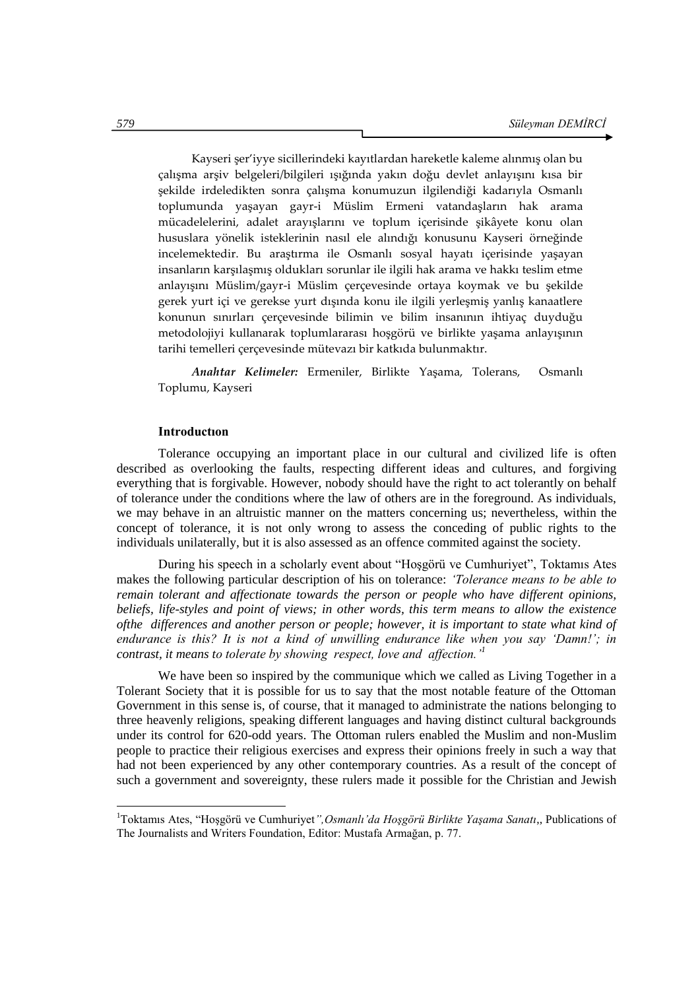Kayseri şer'iyye sicillerindeki kayıtlardan hareketle kaleme alınmış olan bu çalışma arşiv belgeleri/bilgileri ışığında yakın doğu devlet anlayışını kısa bir şekilde irdeledikten sonra çalışma konumuzun ilgilendiği kadarıyla Osmanlı toplumunda yaşayan gayr-i Müslim Ermeni vatandaşların hak arama mücadelelerini, adalet arayışlarını ve toplum içerisinde şikâyete konu olan hususlara yönelik isteklerinin nasıl ele alındığı konusunu Kayseri örneğinde incelemektedir. Bu araştırma ile Osmanlı sosyal hayatı içerisinde yaşayan insanların karşılaşmış oldukları sorunlar ile ilgili hak arama ve hakkı teslim etme anlayışını Müslim/gayr-i Müslim çerçevesinde ortaya koymak ve bu şekilde gerek yurt içi ve gerekse yurt dışında konu ile ilgili yerleşmiş yanlış kanaatlere konunun sınırları çerçevesinde bilimin ve bilim insanının ihtiyaç duyduğu metodolojiyi kullanarak toplumlararası hoşgörü ve birlikte yaşama anlayışının tarihi temelleri çerçevesinde mütevazı bir katkıda bulunmaktır.

*Anahtar Kelimeler:* Ermeniler, Birlikte Yaşama, Tolerans, Osmanlı Toplumu, Kayseri

### **Introductıon**

Tolerance occupying an important place in our cultural and civilized life is often described as overlooking the faults, respecting different ideas and cultures, and forgiving everything that is forgivable. However, nobody should have the right to act tolerantly on behalf of tolerance under the conditions where the law of others are in the foreground. As individuals, we may behave in an altruistic manner on the matters concerning us; nevertheless, within the concept of tolerance, it is not only wrong to assess the conceding of public rights to the individuals unilaterally, but it is also assessed as an offence commited against the society.

During his speech in a scholarly event about "Hoşgörü ve Cumhuriyet", Toktamıs Ates makes the following particular description of his on tolerance: *"Tolerance means to be able to remain tolerant and affectionate towards the person or people who have different opinions, beliefs, life-styles and point of views; in other words, this term means to allow the existence ofthe differences and another person or people; however, it is important to state what kind of endurance is this? It is not a kind of unwilling endurance like when you say "Damn!"; in contrast, it means to tolerate by showing respect, love and affection."<sup>1</sup>*

We have been so inspired by the communique which we called as Living Together in a Tolerant Society that it is possible for us to say that the most notable feature of the Ottoman Government in this sense is, of course, that it managed to administrate the nations belonging to three heavenly religions, speaking different languages and having distinct cultural backgrounds under its control for 620-odd years. The Ottoman rulers enabled the Muslim and non-Muslim people to practice their religious exercises and express their opinions freely in such a way that had not been experienced by any other contemporary countries. As a result of the concept of such a government and sovereignty, these rulers made it possible for the Christian and Jewish

<sup>1</sup>Toktamıs Ates, "Hoşgörü ve Cumhuriyet*",Osmanlı"da Hoşgörü Birlikte Yaşama Sanatı*,, Publications of The Journalists and Writers Foundation, Editor: Mustafa Armağan, p. 77.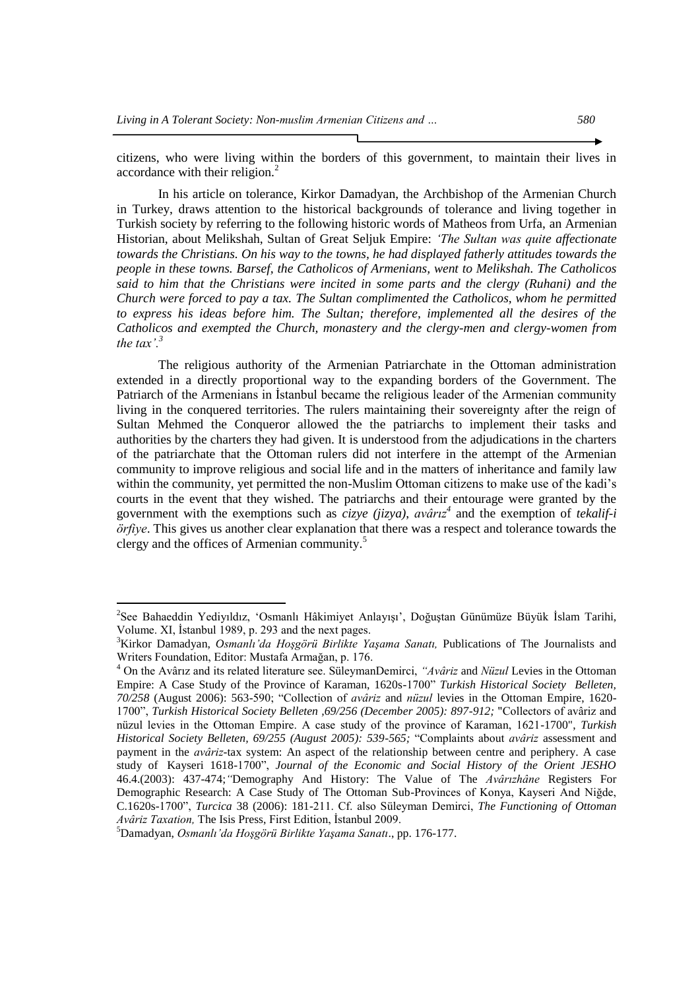citizens, who were living within the borders of this government, to maintain their lives in accordance with their religion. $<sup>2</sup>$ </sup>

In his article on tolerance, Kirkor Damadyan, the Archbishop of the Armenian Church in Turkey, draws attention to the historical backgrounds of tolerance and living together in Turkish society by referring to the following historic words of Matheos from Urfa, an Armenian Historian, about Melikshah, Sultan of Great Seljuk Empire: *"The Sultan was quite affectionate towards the Christians. On his way to the towns, he had displayed fatherly attitudes towards the people in these towns. Barsef, the Catholicos of Armenians, went to Melikshah. The Catholicos said to him that the Christians were incited in some parts and the clergy (Ruhani) and the Church were forced to pay a tax. The Sultan complimented the Catholicos, whom he permitted to express his ideas before him. The Sultan; therefore, implemented all the desires of the Catholicos and exempted the Church, monastery and the clergy-men and clergy-women from the tax'.*<sup> $3$ </sup>

The religious authority of the Armenian Patriarchate in the Ottoman administration extended in a directly proportional way to the expanding borders of the Government. The Patriarch of the Armenians in İstanbul became the religious leader of the Armenian community living in the conquered territories. The rulers maintaining their sovereignty after the reign of Sultan Mehmed the Conqueror allowed the the patriarchs to implement their tasks and authorities by the charters they had given. It is understood from the adjudications in the charters of the patriarchate that the Ottoman rulers did not interfere in the attempt of the Armenian community to improve religious and social life and in the matters of inheritance and family law within the community, yet permitted the non-Muslim Ottoman citizens to make use of the kadi's courts in the event that they wished. The patriarchs and their entourage were granted by the government with the exemptions such as *cizye (jizya)*, *avârız<sup>4</sup>* and the exemption of *tekalif-i örfiye*. This gives us another clear explanation that there was a respect and tolerance towards the clergy and the offices of Armenian community.<sup>5</sup>

<sup>&</sup>lt;sup>2</sup>See Bahaeddin Yediyıldız, 'Osmanlı Hâkimiyet Anlayışı', Doğuştan Günümüze Büyük İslam Tarihi, Volume. XI, İstanbul 1989, p. 293 and the next pages.

<sup>3</sup>Kirkor Damadyan, *Osmanlı"da Hoşgörü Birlikte Yaşama Sanatı,* Publications of The Journalists and Writers Foundation, Editor: Mustafa Armağan, p. 176.

<sup>4</sup> On the Avârız and its related literature see. SüleymanDemirci, *"Avâriz* and *Nüzul* Levies in the Ottoman Empire: A Case Study of the Province of Karaman, 1620s-1700" *Turkish Historical Society Belleten, 70/258* (August 2006): 563-590; "Collection of *avâriz* and *nüzul* levies in the Ottoman Empire, 1620- 1700", *Turkish Historical Society Belleten ,69/256 (December 2005): 897-912;* "Collectors of avâriz and nüzul levies in the Ottoman Empire. A case study of the province of Karaman, 1621-1700", *Turkish Historical Society Belleten, 69/255 (August 2005): 539-565;* "Complaints about *avâriz* assessment and payment in the *avâriz*-tax system: An aspect of the relationship between centre and periphery. A case study of Kayseri 1618-1700", *Journal of the Economic and Social History of the Orient JESHO*  46.4.(2003): 437-474;*"*Demography And History: The Value of The *Avârızhâne* Registers For Demographic Research: A Case Study of The Ottoman Sub-Provinces of Konya, Kayseri And Niğde, C.1620s-1700", *Turcica* 38 (2006): 181-211. Cf. also Süleyman Demirci, *The Functioning of Ottoman Avâriz Taxation,* The Isis Press, First Edition, İstanbul 2009.

<sup>5</sup>Damadyan, *Osmanlı"da Hoşgörü Birlikte Yaşama Sanatı*., pp. 176-177.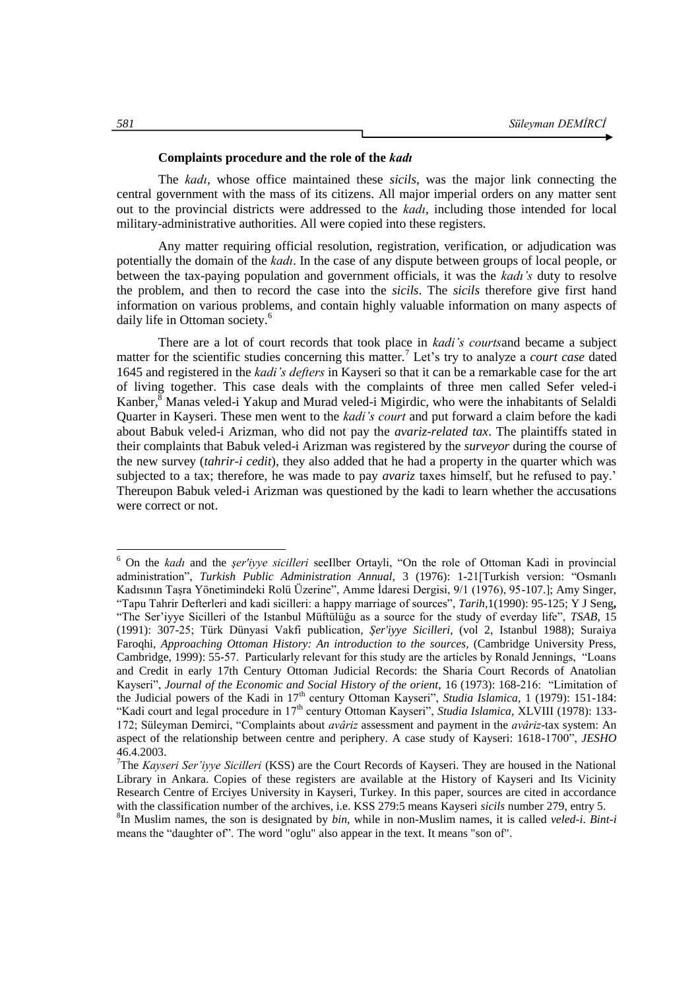## **Complaints procedure and the role of the** *kadı*

The *kadı*, whose office maintained these *sicils*, was the major link connecting the central government with the mass of its citizens. All major imperial orders on any matter sent out to the provincial districts were addressed to the *kadı*, including those intended for local military-administrative authorities. All were copied into these registers.

Any matter requiring official resolution, registration, verification, or adjudication was potentially the domain of the *kadı*. In the case of any dispute between groups of local people, or between the tax-paying population and government officials, it was the *kadı"s* duty to resolve the problem, and then to record the case into the *sicils*. The *sicils* therefore give first hand information on various problems, and contain highly valuable information on many aspects of daily life in Ottoman society.<sup>6</sup>

There are a lot of court records that took place in *kadi"s courts*and became a subject matter for the scientific studies concerning this matter.<sup>7</sup> Let's try to analyze a *court case* dated 1645 and registered in the *kadi"s defters* in Kayseri so that it can be a remarkable case for the art of living together. This case deals with the complaints of three men called Sefer veled-i Kanber, ${}^8$  Manas veled-i Yakup and Murad veled-i Migirdic, who were the inhabitants of Selaldi Quarter in Kayseri. These men went to the *kadi"s court* and put forward a claim before the kadi about Babuk veled-i Arizman, who did not pay the *avariz-related tax*. The plaintiffs stated in their complaints that Babuk veled-i Arizman was registered by the *surveyor* during the course of the new survey (*tahrir-i cedit*), they also added that he had a property in the quarter which was subjected to a tax; therefore, he was made to pay *avariz* taxes himself, but he refused to pay." Thereupon Babuk veled-i Arizman was questioned by the kadi to learn whether the accusations were correct or not.

<sup>6</sup> On the *kadı* and the *şer'iyye sicilleri* seeIlber Ortayli, "On the role of Ottoman Kadi in provincial administration", *Turkish Public Administration Annual,* 3 (1976): 1-21[Turkish version: "Osmanlı Kadısının Taşra Yönetimindeki Rolü Üzerine", Amme İdaresi Dergisi, 9/1 (1976), 95-107.]; Amy Singer, "Tapu Tahrir Defterleri and kadi sicilleri: a happy marriage of sources", *Tarih,*1(1990): 95-125; Y J Seng**,** "The Ser"iyye Sicilleri of the Istanbul Müftülüğu as a source for the study of everday life", *TSAB,* 15 (1991): 307-25; Türk Dünyasi Vakfi publication*, Şer'iyye Sicilleri,* (vol 2, Istanbul 1988); Suraiya Faroqhi, *Approaching Ottoman History: An introduction to the sources,* (Cambridge University Press, Cambridge, 1999): 55-57. Particularly relevant for this study are the articles by Ronald Jennings, "Loans and Credit in early 17th Century Ottoman Judicial Records: the Sharia Court Records of Anatolian Kayseri", *Journal of the Economic and Social History of the orient,* 16 (1973): 168-216: "Limitation of the Judicial powers of the Kadi in 17<sup>th</sup> century Ottoman Kayseri", *Studia Islamica*, 1 (1979): 151-184: "Kadi court and legal procedure in 17<sup>th</sup> century Ottoman Kayseri", *Studia Islamica*, XLVIII (1978): 133-172; Süleyman Demirci, "Complaints about *avâriz* assessment and payment in the *avâriz*-tax system: An aspect of the relationship between centre and periphery. A case study of Kayseri: 1618-1700", *JESHO* 46.4.2003.

<sup>7</sup>The *Kayseri Ser"iyye Sicilleri* (KSS) are the Court Records of Kayseri. They are housed in the National Library in Ankara. Copies of these registers are available at the History of Kayseri and Its Vicinity Research Centre of Erciyes University in Kayseri, Turkey. In this paper, sources are cited in accordance with the classification number of the archives, i.e. KSS 279:5 means Kayseri *sicils* number 279, entry 5.

<sup>8</sup> In Muslim names, the son is designated by *bin*, while in non-Muslim names, it is called *veled-i*. *Bint-i* means the "daughter of". The word "oglu" also appear in the text. It means "son of".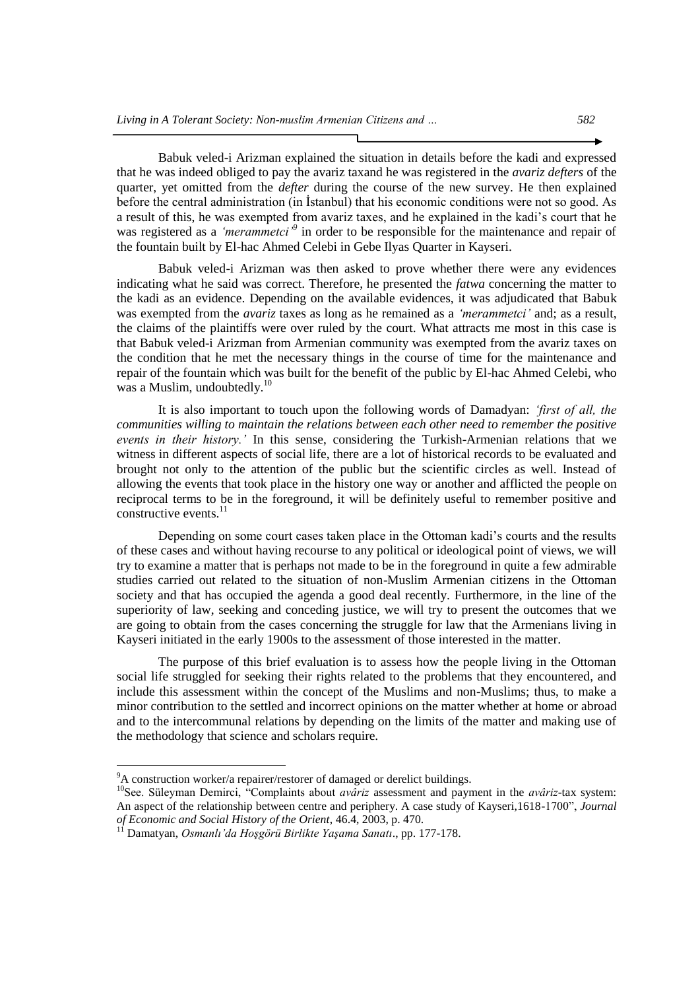Babuk veled-i Arizman explained the situation in details before the kadi and expressed that he was indeed obliged to pay the avariz taxand he was registered in the *avariz defters* of the quarter, yet omitted from the *defter* during the course of the new survey. He then explained before the central administration (in İstanbul) that his economic conditions were not so good. As a result of this, he was exempted from avariz taxes, and he explained in the kadi"s court that he was registered as a *"merammetci"<sup>9</sup>* in order to be responsible for the maintenance and repair of the fountain built by El-hac Ahmed Celebi in Gebe Ilyas Quarter in Kayseri.

Babuk veled-i Arizman was then asked to prove whether there were any evidences indicating what he said was correct. Therefore, he presented the *fatwa* concerning the matter to the kadi as an evidence. Depending on the available evidences, it was adjudicated that Babuk was exempted from the *avariz* taxes as long as he remained as a *"merammetci"* and; as a result, the claims of the plaintiffs were over ruled by the court. What attracts me most in this case is that Babuk veled-i Arizman from Armenian community was exempted from the avariz taxes on the condition that he met the necessary things in the course of time for the maintenance and repair of the fountain which was built for the benefit of the public by El-hac Ahmed Celebi, who was a Muslim, undoubtedly.<sup>10</sup>

It is also important to touch upon the following words of Damadyan: *"first of all, the communities willing to maintain the relations between each other need to remember the positive events in their history."* In this sense, considering the Turkish-Armenian relations that we witness in different aspects of social life, there are a lot of historical records to be evaluated and brought not only to the attention of the public but the scientific circles as well. Instead of allowing the events that took place in the history one way or another and afflicted the people on reciprocal terms to be in the foreground, it will be definitely useful to remember positive and constructive events. $^{11}$ 

Depending on some court cases taken place in the Ottoman kadi's courts and the results of these cases and without having recourse to any political or ideological point of views, we will try to examine a matter that is perhaps not made to be in the foreground in quite a few admirable studies carried out related to the situation of non-Muslim Armenian citizens in the Ottoman society and that has occupied the agenda a good deal recently. Furthermore, in the line of the superiority of law, seeking and conceding justice, we will try to present the outcomes that we are going to obtain from the cases concerning the struggle for law that the Armenians living in Kayseri initiated in the early 1900s to the assessment of those interested in the matter.

The purpose of this brief evaluation is to assess how the people living in the Ottoman social life struggled for seeking their rights related to the problems that they encountered, and include this assessment within the concept of the Muslims and non-Muslims; thus, to make a minor contribution to the settled and incorrect opinions on the matter whether at home or abroad and to the intercommunal relations by depending on the limits of the matter and making use of the methodology that science and scholars require.

 $\rm{^{9}A}$  construction worker/a repairer/restorer of damaged or derelict buildings.

<sup>10</sup>See. Süleyman Demirci, "Complaints about *avâriz* assessment and payment in the *avâriz*-tax system: An aspect of the relationship between centre and periphery. A case study of Kayseri,1618-1700", *Journal of Economic and Social History of the Orient*, 46.4, 2003, p. 470.

<sup>11</sup> Damatyan, *Osmanlı"da Hoşgörü Birlikte Yaşama Sanatı*., pp. 177-178.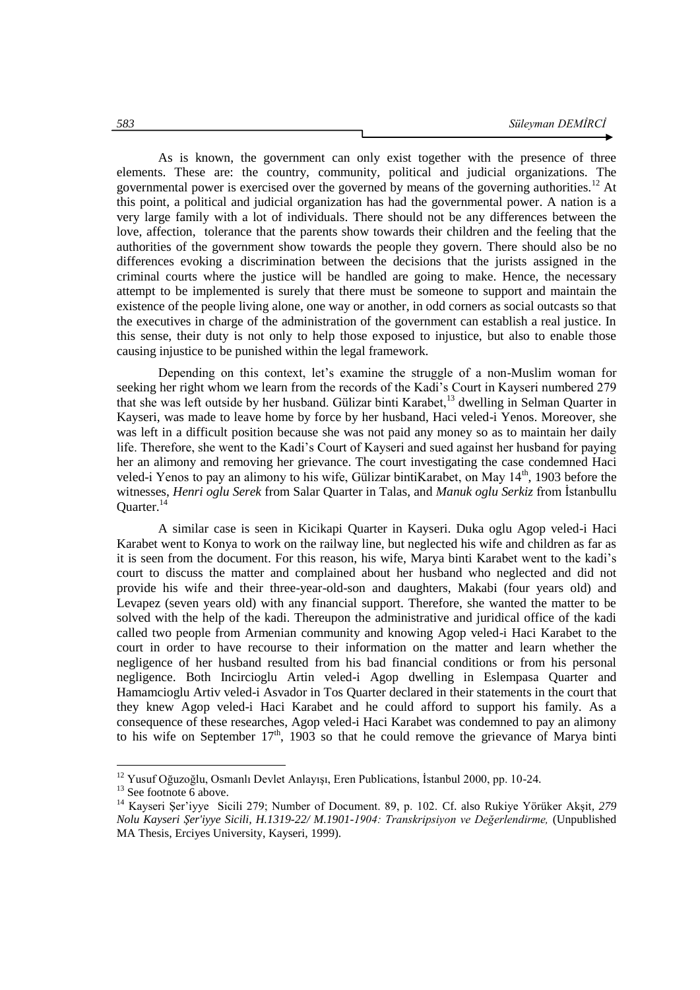As is known, the government can only exist together with the presence of three elements. These are: the country, community, political and judicial organizations. The governmental power is exercised over the governed by means of the governing authorities.<sup>12</sup> At this point, a political and judicial organization has had the governmental power. A nation is a very large family with a lot of individuals. There should not be any differences between the love, affection, tolerance that the parents show towards their children and the feeling that the authorities of the government show towards the people they govern. There should also be no differences evoking a discrimination between the decisions that the jurists assigned in the criminal courts where the justice will be handled are going to make. Hence, the necessary attempt to be implemented is surely that there must be someone to support and maintain the existence of the people living alone, one way or another, in odd corners as social outcasts so that the executives in charge of the administration of the government can establish a real justice. In this sense, their duty is not only to help those exposed to injustice, but also to enable those causing injustice to be punished within the legal framework.

Depending on this context, let's examine the struggle of a non-Muslim woman for seeking her right whom we learn from the records of the Kadi"s Court in Kayseri numbered 279 that she was left outside by her husband. Gülizar binti Karabet,<sup>13</sup> dwelling in Selman Quarter in Kayseri, was made to leave home by force by her husband, Haci veled-i Yenos. Moreover, she was left in a difficult position because she was not paid any money so as to maintain her daily life. Therefore, she went to the Kadi"s Court of Kayseri and sued against her husband for paying her an alimony and removing her grievance. The court investigating the case condemned Haci veled-i Yenos to pay an alimony to his wife, Gülizar bintiKarabet, on May 14<sup>th</sup>, 1903 before the witnesses, *Henri oglu Serek* from Salar Quarter in Talas, and *Manuk oglu Serkiz* from İstanbullu Quarter.<sup>14</sup>

A similar case is seen in Kicikapi Quarter in Kayseri. Duka oglu Agop veled-i Haci Karabet went to Konya to work on the railway line, but neglected his wife and children as far as it is seen from the document. For this reason, his wife, Marya binti Karabet went to the kadi"s court to discuss the matter and complained about her husband who neglected and did not provide his wife and their three-year-old-son and daughters, Makabi (four years old) and Levapez (seven years old) with any financial support. Therefore, she wanted the matter to be solved with the help of the kadi. Thereupon the administrative and juridical office of the kadi called two people from Armenian community and knowing Agop veled-i Haci Karabet to the court in order to have recourse to their information on the matter and learn whether the negligence of her husband resulted from his bad financial conditions or from his personal negligence. Both Incircioglu Artin veled-i Agop dwelling in Eslempasa Quarter and Hamamcioglu Artiv veled-i Asvador in Tos Quarter declared in their statements in the court that they knew Agop veled-i Haci Karabet and he could afford to support his family. As a consequence of these researches, Agop veled-i Haci Karabet was condemned to pay an alimony to his wife on September  $17<sup>th</sup>$ , 1903 so that he could remove the grievance of Marya binti

<sup>&</sup>lt;sup>12</sup> Yusuf Oğuzoğlu, Osmanlı Devlet Anlayışı, Eren Publications, İstanbul 2000, pp. 10-24.

 $13$  See footnote 6 above.

<sup>14</sup> Kayseri Şer"iyye Sicili 279; Number of Document. 89, p. 102. Cf. also Rukiye Yörüker Akşit*, 279 Nolu Kayseri Şer'iyye Sicili, H.1319-22/ M.1901-1904: Transkripsiyon ve Değerlendirme,* (Unpublished MA Thesis, Erciyes University, Kayseri, 1999).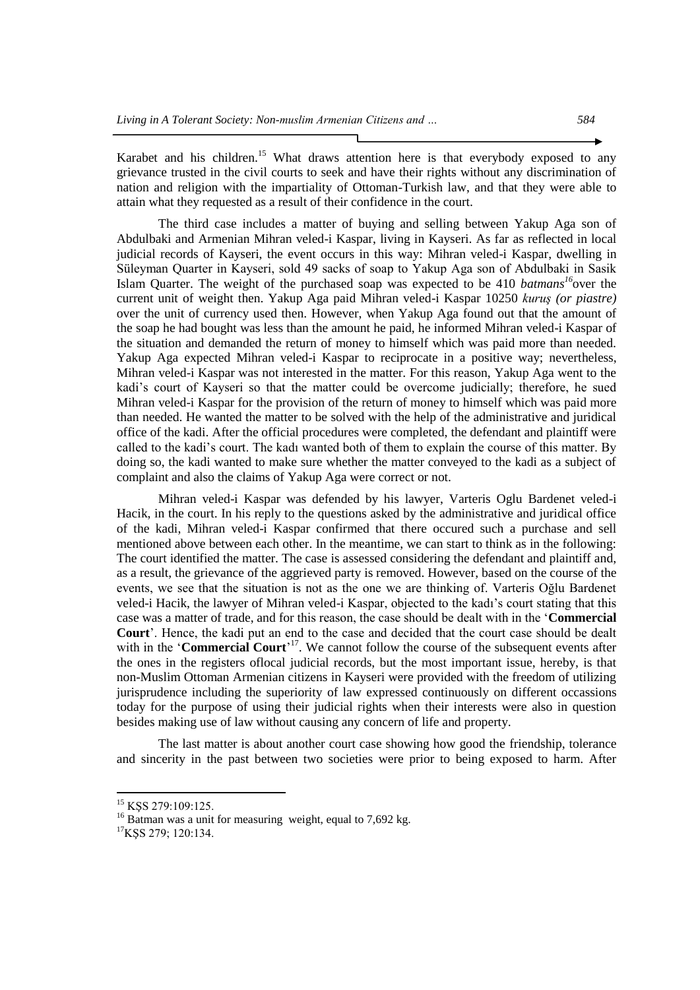Karabet and his children.<sup>15</sup> What draws attention here is that everybody exposed to any grievance trusted in the civil courts to seek and have their rights without any discrimination of nation and religion with the impartiality of Ottoman-Turkish law, and that they were able to attain what they requested as a result of their confidence in the court.

The third case includes a matter of buying and selling between Yakup Aga son of Abdulbaki and Armenian Mihran veled-i Kaspar, living in Kayseri. As far as reflected in local judicial records of Kayseri, the event occurs in this way: Mihran veled-i Kaspar, dwelling in Süleyman Quarter in Kayseri, sold 49 sacks of soap to Yakup Aga son of Abdulbaki in Sasik Islam Quarter. The weight of the purchased soap was expected to be 410 *batmans<sup>16</sup>*over the current unit of weight then. Yakup Aga paid Mihran veled-i Kaspar 10250 *kuruş (or piastre)* over the unit of currency used then. However, when Yakup Aga found out that the amount of the soap he had bought was less than the amount he paid, he informed Mihran veled-i Kaspar of the situation and demanded the return of money to himself which was paid more than needed. Yakup Aga expected Mihran veled-i Kaspar to reciprocate in a positive way; nevertheless, Mihran veled-i Kaspar was not interested in the matter. For this reason, Yakup Aga went to the kadi"s court of Kayseri so that the matter could be overcome judicially; therefore, he sued Mihran veled-i Kaspar for the provision of the return of money to himself which was paid more than needed. He wanted the matter to be solved with the help of the administrative and juridical office of the kadi. After the official procedures were completed, the defendant and plaintiff were called to the kadi"s court. The kadı wanted both of them to explain the course of this matter. By doing so, the kadi wanted to make sure whether the matter conveyed to the kadi as a subject of complaint and also the claims of Yakup Aga were correct or not.

Mihran veled-i Kaspar was defended by his lawyer, Varteris Oglu Bardenet veled-i Hacik, in the court. In his reply to the questions asked by the administrative and juridical office of the kadi, Mihran veled-i Kaspar confirmed that there occured such a purchase and sell mentioned above between each other. In the meantime, we can start to think as in the following: The court identified the matter. The case is assessed considering the defendant and plaintiff and, as a result, the grievance of the aggrieved party is removed. However, based on the course of the events, we see that the situation is not as the one we are thinking of. Varteris Oğlu Bardenet veled-i Hacik, the lawyer of Mihran veled-i Kaspar, objected to the kadı"s court stating that this case was a matter of trade, and for this reason, the case should be dealt with in the "**Commercial Court**". Hence, the kadi put an end to the case and decided that the court case should be dealt with in the '**Commercial Court**<sup>17</sup>. We cannot follow the course of the subsequent events after the ones in the registers oflocal judicial records, but the most important issue, hereby, is that non-Muslim Ottoman Armenian citizens in Kayseri were provided with the freedom of utilizing jurisprudence including the superiority of law expressed continuously on different occassions today for the purpose of using their judicial rights when their interests were also in question besides making use of law without causing any concern of life and property.

The last matter is about another court case showing how good the friendship, tolerance and sincerity in the past between two societies were prior to being exposed to harm. After

<sup>&</sup>lt;sup>15</sup> KŞS 279:109:125.

<sup>&</sup>lt;sup>16</sup> Batman was a unit for measuring weight, equal to 7,692 kg.

<sup>&</sup>lt;sup>17</sup>KŞS 279; 120:134.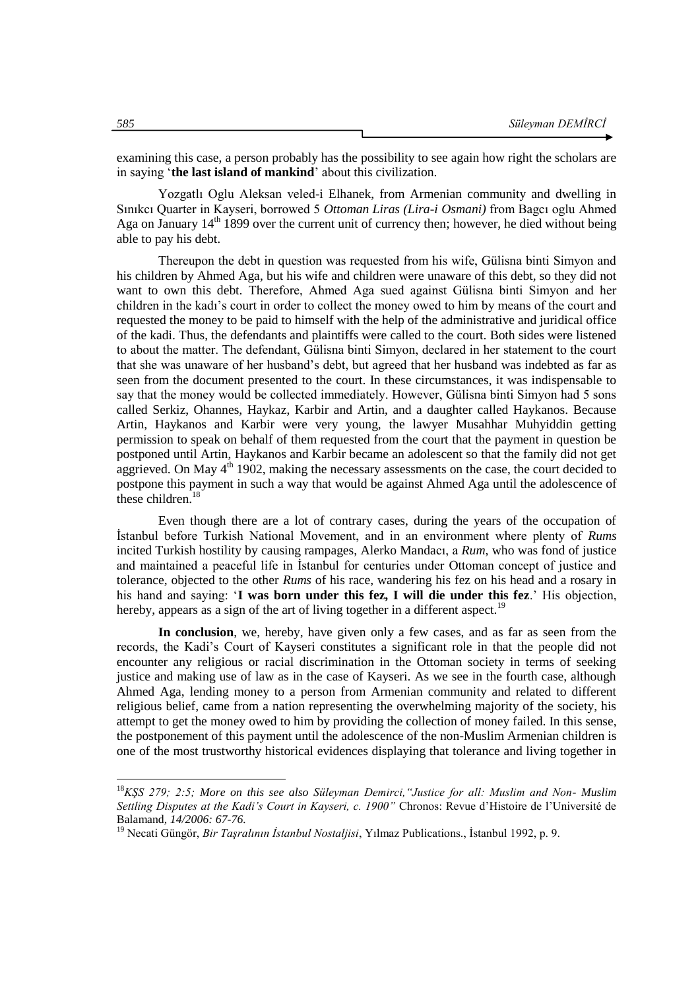examining this case, a person probably has the possibility to see again how right the scholars are in saying "**the last island of mankind**" about this civilization.

Yozgatlı Oglu Aleksan veled-i Elhanek, from Armenian community and dwelling in Sınıkcı Quarter in Kayseri, borrowed 5 *Ottoman Liras (Lira-i Osmani)* from Bagcı oglu Ahmed Aga on January 14<sup>th</sup> 1899 over the current unit of currency then; however, he died without being able to pay his debt.

Thereupon the debt in question was requested from his wife, Gülisna binti Simyon and his children by Ahmed Aga, but his wife and children were unaware of this debt, so they did not want to own this debt. Therefore, Ahmed Aga sued against Gülisna binti Simyon and her children in the kadı"s court in order to collect the money owed to him by means of the court and requested the money to be paid to himself with the help of the administrative and juridical office of the kadi. Thus, the defendants and plaintiffs were called to the court. Both sides were listened to about the matter. The defendant, Gülisna binti Simyon, declared in her statement to the court that she was unaware of her husband"s debt, but agreed that her husband was indebted as far as seen from the document presented to the court. In these circumstances, it was indispensable to say that the money would be collected immediately. However, Gülisna binti Simyon had 5 sons called Serkiz, Ohannes, Haykaz, Karbir and Artin, and a daughter called Haykanos. Because Artin, Haykanos and Karbir were very young, the lawyer Musahhar Muhyiddin getting permission to speak on behalf of them requested from the court that the payment in question be postponed until Artin, Haykanos and Karbir became an adolescent so that the family did not get aggrieved. On May  $4<sup>th</sup>$  1902, making the necessary assessments on the case, the court decided to postpone this payment in such a way that would be against Ahmed Aga until the adolescence of these children. $18$ 

Even though there are a lot of contrary cases, during the years of the occupation of İstanbul before Turkish National Movement, and in an environment where plenty of *Rums* incited Turkish hostility by causing rampages, Alerko Mandacı, a *Rum*, who was fond of justice and maintained a peaceful life in İstanbul for centuries under Ottoman concept of justice and tolerance, objected to the other *Rums* of his race, wandering his fez on his head and a rosary in his hand and saying: "**I was born under this fez, I will die under this fez**." His objection, hereby, appears as a sign of the art of living together in a different aspect.<sup>19</sup>

**In conclusion**, we, hereby, have given only a few cases, and as far as seen from the records, the Kadi"s Court of Kayseri constitutes a significant role in that the people did not encounter any religious or racial discrimination in the Ottoman society in terms of seeking justice and making use of law as in the case of Kayseri. As we see in the fourth case, although Ahmed Aga, lending money to a person from Armenian community and related to different religious belief, came from a nation representing the overwhelming majority of the society, his attempt to get the money owed to him by providing the collection of money failed. In this sense, the postponement of this payment until the adolescence of the non-Muslim Armenian children is one of the most trustworthy historical evidences displaying that tolerance and living together in

<sup>18</sup>*KŞS 279; 2:5; More on this see also Süleyman Demirci,"Justice for all: Muslim and Non- Muslim Settling Disputes at the Kadi"s Court in Kayseri, c. 1900"* Chronos: Revue d"Histoire de l"Université de Balamand*, 14/2006: 67-76.*

<sup>19</sup> Necati Güngör, *Bir Taşralının İstanbul Nostaljisi*, Yılmaz Publications., İstanbul 1992, p. 9.